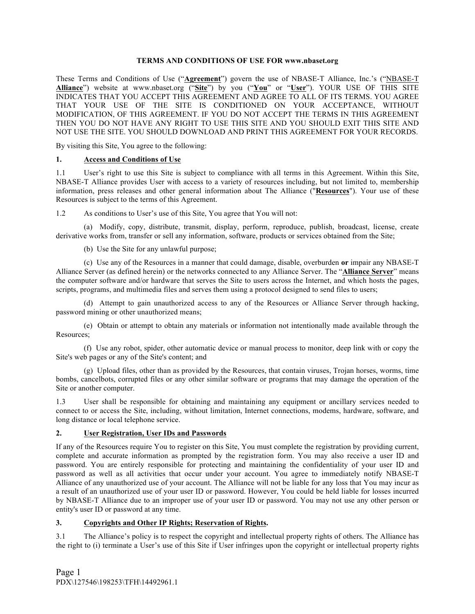### **TERMS AND CONDITIONS OF USE FOR www.nbaset.org**

These Terms and Conditions of Use ("**Agreement**") govern the use of NBASE-T Alliance, Inc.'s ("NBASE-T **Alliance**") website at www.nbaset.org ("**Site**") by you ("**You**" or "**User**"). YOUR USE OF THIS SITE INDICATES THAT YOU ACCEPT THIS AGREEMENT AND AGREE TO ALL OF ITS TERMS. YOU AGREE THAT YOUR USE OF THE SITE IS CONDITIONED ON YOUR ACCEPTANCE, WITHOUT MODIFICATION, OF THIS AGREEMENT. IF YOU DO NOT ACCEPT THE TERMS IN THIS AGREEMENT THEN YOU DO NOT HAVE ANY RIGHT TO USE THIS SITE AND YOU SHOULD EXIT THIS SITE AND NOT USE THE SITE. YOU SHOULD DOWNLOAD AND PRINT THIS AGREEMENT FOR YOUR RECORDS.

By visiting this Site, You agree to the following:

## **1. Access and Conditions of Use**

1.1 User's right to use this Site is subject to compliance with all terms in this Agreement. Within this Site, NBASE-T Alliance provides User with access to a variety of resources including, but not limited to, membership information, press releases and other general information about The Alliance ("**Resources**"). Your use of these Resources is subject to the terms of this Agreement.

1.2 As conditions to User's use of this Site, You agree that You will not:

(a) Modify, copy, distribute, transmit, display, perform, reproduce, publish, broadcast, license, create derivative works from, transfer or sell any information, software, products or services obtained from the Site;

(b) Use the Site for any unlawful purpose;

(c) Use any of the Resources in a manner that could damage, disable, overburden **or** impair any NBASE-T Alliance Server (as defined herein) or the networks connected to any Alliance Server. The "**Alliance Server**" means the computer software and/or hardware that serves the Site to users across the Internet, and which hosts the pages, scripts, programs, and multimedia files and serves them using a protocol designed to send files to users;

(d) Attempt to gain unauthorized access to any of the Resources or Alliance Server through hacking, password mining or other unauthorized means;

(e) Obtain or attempt to obtain any materials or information not intentionally made available through the Resources;

(f) Use any robot, spider, other automatic device or manual process to monitor, deep link with or copy the Site's web pages or any of the Site's content; and

(g) Upload files, other than as provided by the Resources, that contain viruses, Trojan horses, worms, time bombs, cancelbots, corrupted files or any other similar software or programs that may damage the operation of the Site or another computer.

1.3 User shall be responsible for obtaining and maintaining any equipment or ancillary services needed to connect to or access the Site, including, without limitation, Internet connections, modems, hardware, software, and long distance or local telephone service.

## **2. User Registration, User IDs and Passwords**

If any of the Resources require You to register on this Site, You must complete the registration by providing current, complete and accurate information as prompted by the registration form. You may also receive a user ID and password. You are entirely responsible for protecting and maintaining the confidentiality of your user ID and password as well as all activities that occur under your account. You agree to immediately notify NBASE-T Alliance of any unauthorized use of your account. The Alliance will not be liable for any loss that You may incur as a result of an unauthorized use of your user ID or password. However, You could be held liable for losses incurred by NBASE-T Alliance due to an improper use of your user ID or password. You may not use any other person or entity's user ID or password at any time.

## **3. Copyrights and Other IP Rights; Reservation of Rights.**

3.1 The Alliance's policy is to respect the copyright and intellectual property rights of others. The Alliance has the right to (i) terminate a User's use of this Site if User infringes upon the copyright or intellectual property rights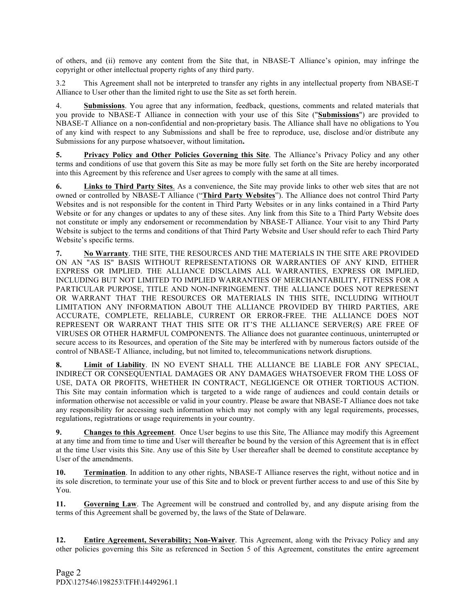of others, and (ii) remove any content from the Site that, in NBASE-T Alliance's opinion, may infringe the copyright or other intellectual property rights of any third party.

3.2 This Agreement shall not be interpreted to transfer any rights in any intellectual property from NBASE-T Alliance to User other than the limited right to use the Site as set forth herein.

4. **Submissions**. You agree that any information, feedback, questions, comments and related materials that you provide to NBASE-T Alliance in connection with your use of this Site ("**Submissions**") are provided to NBASE-T Alliance on a non-confidential and non-proprietary basis. The Alliance shall have no obligations to You of any kind with respect to any Submissions and shall be free to reproduce, use, disclose and/or distribute any Submissions for any purpose whatsoever, without limitation**.**

**5. Privacy Policy and Other Policies Governing this Site**. The Alliance's Privacy Policy and any other terms and conditions of use that govern this Site as may be more fully set forth on the Site are hereby incorporated into this Agreement by this reference and User agrees to comply with the same at all times.

**6. Links to Third Party Sites**. As a convenience, the Site may provide links to other web sites that are not owned or controlled by NBASE-T Alliance ("**Third Party Websites**"). The Alliance does not control Third Party Websites and is not responsible for the content in Third Party Websites or in any links contained in a Third Party Website or for any changes or updates to any of these sites. Any link from this Site to a Third Party Website does not constitute or imply any endorsement or recommendation by NBASE-T Alliance. Your visit to any Third Party Website is subject to the terms and conditions of that Third Party Website and User should refer to each Third Party Website's specific terms.

**7. No Warranty**. THE SITE, THE RESOURCES AND THE MATERIALS IN THE SITE ARE PROVIDED ON AN "AS IS" BASIS WITHOUT REPRESENTATIONS OR WARRANTIES OF ANY KIND, EITHER EXPRESS OR IMPLIED. THE ALLIANCE DISCLAIMS ALL WARRANTIES, EXPRESS OR IMPLIED, INCLUDING BUT NOT LIMITED TO IMPLIED WARRANTIES OF MERCHANTABILITY, FITNESS FOR A PARTICULAR PURPOSE, TITLE AND NON-INFRINGEMENT. THE ALLIANCE DOES NOT REPRESENT OR WARRANT THAT THE RESOURCES OR MATERIALS IN THIS SITE, INCLUDING WITHOUT LIMITATION ANY INFORMATION ABOUT THE ALLIANCE PROVIDED BY THIRD PARTIES, ARE ACCURATE, COMPLETE, RELIABLE, CURRENT OR ERROR-FREE. THE ALLIANCE DOES NOT REPRESENT OR WARRANT THAT THIS SITE OR IT'S THE ALLIANCE SERVER(S) ARE FREE OF VIRUSES OR OTHER HARMFUL COMPONENTS. The Alliance does not guarantee continuous, uninterrupted or secure access to its Resources, and operation of the Site may be interfered with by numerous factors outside of the control of NBASE-T Alliance, including, but not limited to, telecommunications network disruptions.

**8. Limit of Liability**. IN NO EVENT SHALL THE ALLIANCE BE LIABLE FOR ANY SPECIAL, INDIRECT OR CONSEQUENTIAL DAMAGES OR ANY DAMAGES WHATSOEVER FROM THE LOSS OF USE, DATA OR PROFITS, WHETHER IN CONTRACT, NEGLIGENCE OR OTHER TORTIOUS ACTION. This Site may contain information which is targeted to a wide range of audiences and could contain details or information otherwise not accessible or valid in your country. Please be aware that NBASE-T Alliance does not take any responsibility for accessing such information which may not comply with any legal requirements, processes, regulations, registrations or usage requirements in your country.

**9. Changes to this Agreement**. Once User begins to use this Site, The Alliance may modify this Agreement at any time and from time to time and User will thereafter be bound by the version of this Agreement that is in effect at the time User visits this Site. Any use of this Site by User thereafter shall be deemed to constitute acceptance by User of the amendments.

**10. Termination**. In addition to any other rights, NBASE-T Alliance reserves the right, without notice and in its sole discretion, to terminate your use of this Site and to block or prevent further access to and use of this Site by You.

**11. Governing Law**. The Agreement will be construed and controlled by, and any dispute arising from the terms of this Agreement shall be governed by, the laws of the State of Delaware.

**12. Entire Agreement, Severability; Non-Waiver**. This Agreement, along with the Privacy Policy and any other policies governing this Site as referenced in Section 5 of this Agreement, constitutes the entire agreement